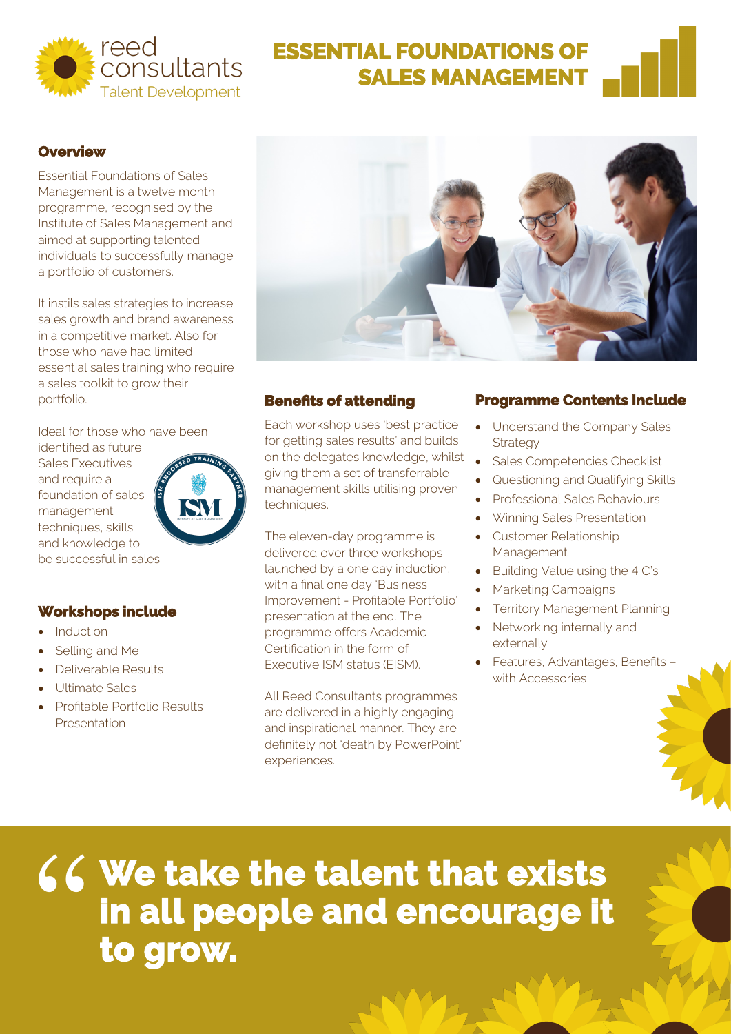

# **ESSENTIAL FOUNDATIONS OF SALES MANAGEMENT**

#### **Overview**

Essential Foundations of Sales Management is a twelve month programme, recognised by the Institute of Sales Management and aimed at supporting talented individuals to successfully manage a portfolio of customers.

It instils sales strategies to increase sales growth and brand awareness in a competitive market. Also for those who have had limited essential sales training who require a sales toolkit to grow their portfolio.

Ideal for those who have been

identified as future Sales Executives and require a foundation of sales management techniques, skills and knowledge to be successful in sales.

### **Workshops include**

- **Induction**
- Selling and Me
- Deliverable Results
- Ultimate Sales
- Profitable Portfolio Results Presentation



#### **Benefits of attending**

 Each workshop uses 'best practice for getting sales results' and builds on the delegates knowledge, whilst giving them a set of transferrable management skills utilising proven techniques.

The eleven-day programme is delivered over three workshops launched by a one day induction, with a final one day 'Business Improvement - Profitable Portfolio' presentation at the end. The programme offers Academic Certification in the form of Executive ISM status (EISM).

All Reed Consultants programmes are delivered in a highly engaging and inspirational manner. They are definitely not 'death by PowerPoint' experiences.

#### **Programme Contents Include**

- Understand the Company Sales Strategy
- Sales Competencies Checklist
- Questioning and Qualifying Skills
- Professional Sales Behaviours
- Winning Sales Presentation
- Customer Relationship Management
- Building Value using the 4 C's
- Marketing Campaigns
- **Territory Management Planning**
- Networking internally and externally
- Features, Advantages, Benefits with Accessories